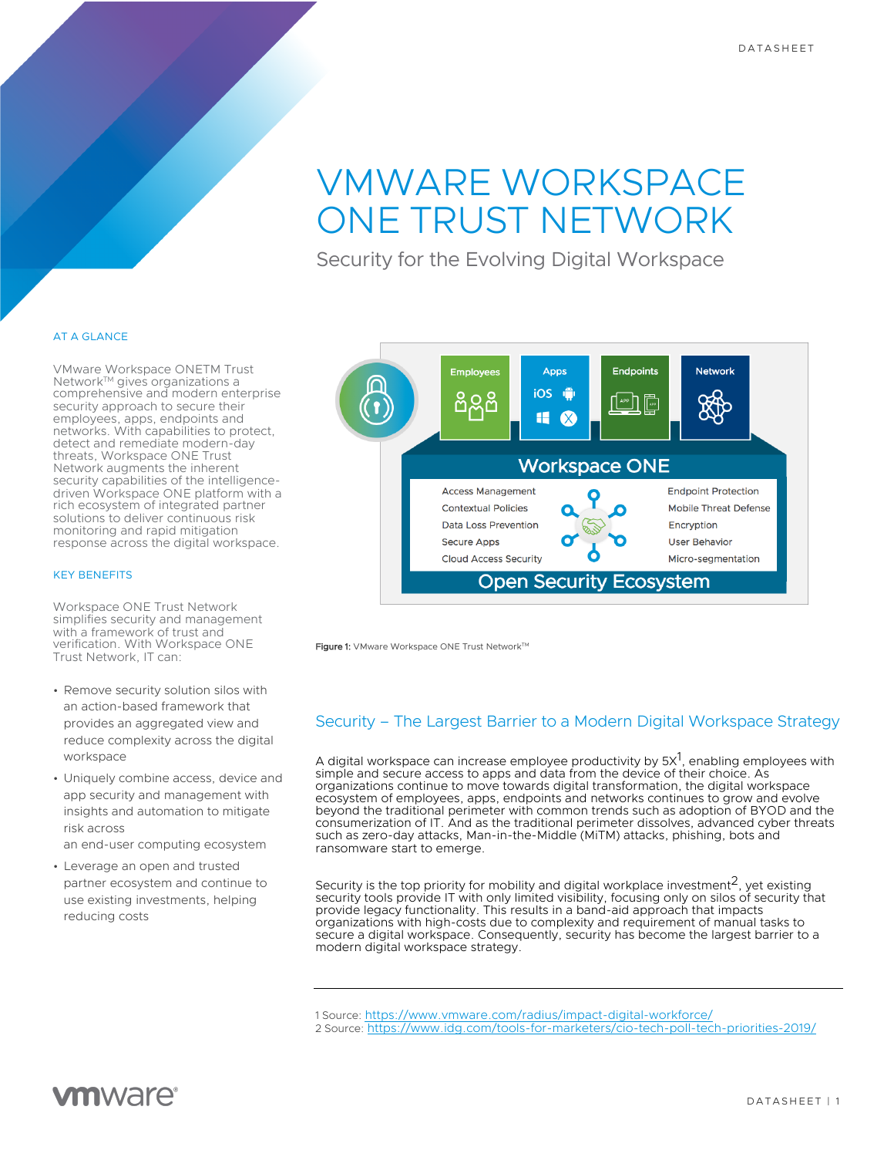# VMWARE WORKSPACE ONE TRUST NETWORK

Security for the Evolving Digital Workspace

### AT A GLANCE

VMware Workspace ONETM Trust Network<sup>™</sup> gives organizations a comprehensive and modern enterprise security approach to secure their employees, apps, endpoints and networks. With capabilities to protect, detect and remediate modern-day threats, Workspace ONE Trust Network augments the inherent security capabilities of the intelligencedriven Workspace ONE platform with a rich ecosystem of integrated partner solutions to deliver continuous risk monitoring and rapid mitigation response across the digital workspace.

### KEY BENEFITS

Workspace ONE Trust Network simplifies security and management with a framework of trust and verification. With Workspace ONE Trust Network, IT can:

- Remove security solution silos with an action-based framework that provides an aggregated view and reduce complexity across the digital workspace
- Uniquely combine access, device and app security and management with insights and automation to mitigate risk across
- an end-user computing ecosystem
- Leverage an open and trusted partner ecosystem and continue to use existing investments, helping reducing costs



Figure 1: VMware Workspace ONE Trust Network™

# Security – The Largest Barrier to a Modern Digital Workspace Strategy

A digital workspace can increase employee productivity by 5X $^{\mathrm{1}},$  enabling employees with simple and secure access to apps and data from the device of their choice. As organizations continue to move towards digital transformation, the digital workspace ecosystem of employees, apps, endpoints and networks continues to grow and evolve beyond the traditional perimeter with common trends such as adoption of BYOD and the consumerization of IT. And as the traditional perimeter dissolves, advanced cyber threats such as zero-day attacks, Man-in-the-Middle (MiTM) attacks, phishing, bots and ransomware start to emerge.

Security is the top priority for mobility and digital workplace investment<sup>2</sup>, yet existing security tools provide IT with only limited visibility, focusing only on silos of security that provide legacy functionality. This results in a band-aid approach that impacts organizations with high-costs due to complexity and requirement of manual tasks to secure a digital workspace. Consequently, security has become the largest barrier to a modern digital workspace strategy.

2 Source: https://www.idg.com/tools-for-marketers/cio-tech-poll-tech-priorities-2019/

<sup>1</sup> Source: https://www.vmware.com/radius/impact-digital-workforce/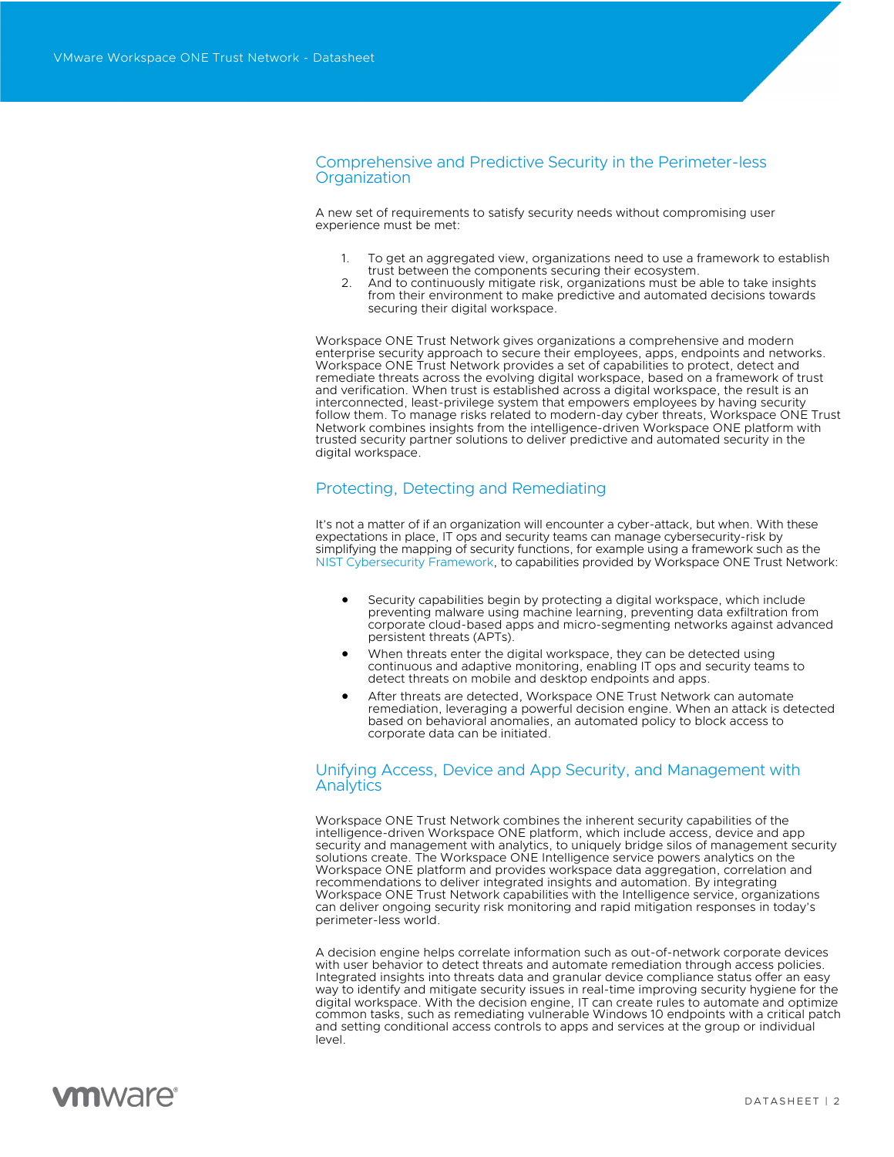### Comprehensive and Predictive Security in the Perimeter-less **Organization**

A new set of requirements to satisfy security needs without compromising user experience must be met:

- 1. To get an aggregated view, organizations need to use a framework to establish trust between the components securing their ecosystem.
- 2. And to continuously mitigate risk, organizations must be able to take insights from their environment to make predictive and automated decisions towards securing their digital workspace.

Workspace ONE Trust Network gives organizations a comprehensive and modern enterprise security approach to secure their employees, apps, endpoints and networks. Workspace ONE Trust Network provides a set of capabilities to protect, detect and remediate threats across the evolving digital workspace, based on a framework of trust and verification. When trust is established across a digital workspace, the result is an interconnected, least-privilege system that empowers employees by having security follow them. To manage risks related to modern-day cyber threats, Workspace ONE Trust Network combines insights from the intelligence-driven Workspace ONE platform with trusted security partner solutions to deliver predictive and automated security in the digital workspace.

# Protecting, Detecting and Remediating

It's not a matter of if an organization will encounter a cyber-attack, but when. With these expectations in place, IT ops and security teams can manage cybersecurity-risk by simplifying the mapping of security functions, for example using a framework such as the NIST Cybersecurity Framework, to capabilities provided by Workspace ONE Trust Network:

- Security capabilities begin by protecting a digital workspace, which include preventing malware using machine learning, preventing data exfiltration from corporate cloud-based apps and micro-segmenting networks against advanced persistent threats (APTs).
- When threats enter the digital workspace, they can be detected using continuous and adaptive monitoring, enabling IT ops and security teams to detect threats on mobile and desktop endpoints and apps.
- After threats are detected, Workspace ONE Trust Network can automate remediation, leveraging a powerful decision engine. When an attack is detected based on behavioral anomalies, an automated policy to block access to corporate data can be initiated.

### Unifying Access, Device and App Security, and Management with **Analytics**

Workspace ONE Trust Network combines the inherent security capabilities of the intelligence-driven Workspace ONE platform, which include access, device and app security and management with analytics, to uniquely bridge silos of management security solutions create. The Workspace ONE Intelligence service powers analytics on the Workspace ONE platform and provides workspace data aggregation, correlation and recommendations to deliver integrated insights and automation. By integrating Workspace ONE Trust Network capabilities with the Intelligence service, organizations can deliver ongoing security risk monitoring and rapid mitigation responses in today's perimeter-less world.

A decision engine helps correlate information such as out-of-network corporate devices with user behavior to detect threats and automate remediation through access policies. Integrated insights into threats data and granular device compliance status offer an easy way to identify and mitigate security issues in real-time improving security hygiene for the digital workspace. With the decision engine, IT can create rules to automate and optimize common tasks, such as remediating vulnerable Windows 10 endpoints with a critical patch and setting conditional access controls to apps and services at the group or individual level.

# **vm**ware<sup>®</sup>